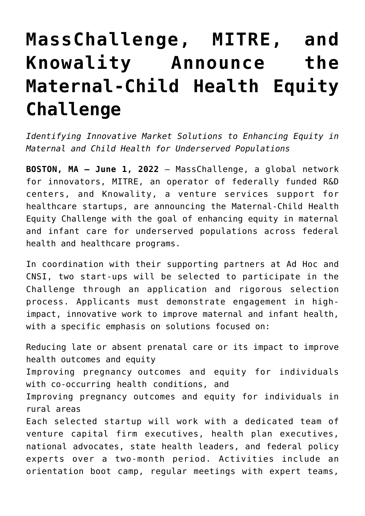# **[MassChallenge, MITRE, and](https://www.cns-inc.com/insights/press-releases/masschallenge-mitre-and-knowality-announce-the-maternal-child-health-equity-challenge/) [Knowality Announce the](https://www.cns-inc.com/insights/press-releases/masschallenge-mitre-and-knowality-announce-the-maternal-child-health-equity-challenge/) [Maternal-Child Health Equity](https://www.cns-inc.com/insights/press-releases/masschallenge-mitre-and-knowality-announce-the-maternal-child-health-equity-challenge/) [Challenge](https://www.cns-inc.com/insights/press-releases/masschallenge-mitre-and-knowality-announce-the-maternal-child-health-equity-challenge/)**

*Identifying Innovative Market Solutions to Enhancing Equity in Maternal and Child Health for Underserved Populations*

**BOSTON, MA – June 1, 2022** – MassChallenge, a global network for innovators, MITRE, an operator of federally funded R&D centers, and Knowality, a venture services support for healthcare startups, are announcing the Maternal-Child Health Equity Challenge with the goal of enhancing equity in maternal and infant care for underserved populations across federal health and healthcare programs.

In coordination with their supporting partners at Ad Hoc and CNSI, two start-ups will be selected to participate in the Challenge through an application and rigorous selection process. Applicants must demonstrate engagement in highimpact, innovative work to improve maternal and infant health, with a specific emphasis on solutions focused on:

Reducing late or absent prenatal care or its impact to improve health outcomes and equity Improving pregnancy outcomes and equity for individuals with co-occurring health conditions, and Improving pregnancy outcomes and equity for individuals in rural areas Each selected startup will work with a dedicated team of venture capital firm executives, health plan executives, national advocates, state health leaders, and federal policy experts over a two-month period. Activities include an orientation boot camp, regular meetings with expert teams,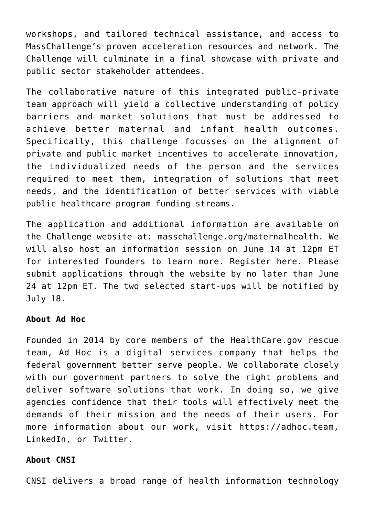workshops, and tailored technical assistance, and access to MassChallenge's proven acceleration resources and network. The Challenge will culminate in a final showcase with private and public sector stakeholder attendees.

The collaborative nature of this integrated public-private team approach will yield a collective understanding of policy barriers and market solutions that must be addressed to achieve better maternal and infant health outcomes. Specifically, this challenge focusses on the alignment of private and public market incentives to accelerate innovation, the individualized needs of the person and the services required to meet them, integration of solutions that meet needs, and the identification of better services with viable public healthcare program funding streams.

The application and additional information are available on the Challenge website at: masschallenge.org/maternalhealth. We will also host an information session on June 14 at 12pm ET for interested founders to learn more. Register here. Please submit applications through the website by no later than June 24 at 12pm ET. The two selected start-ups will be notified by July 18.

#### **About Ad Hoc**

Founded in 2014 by core members of the HealthCare.gov rescue team, Ad Hoc is a digital services company that helps the federal government better serve people. We collaborate closely with our government partners to solve the right problems and deliver software solutions that work. In doing so, we give agencies confidence that their tools will effectively meet the demands of their mission and the needs of their users. For more information about our work, visit https://adhoc.team, LinkedIn, or Twitter.

#### **About CNSI**

CNSI delivers a broad range of health information technology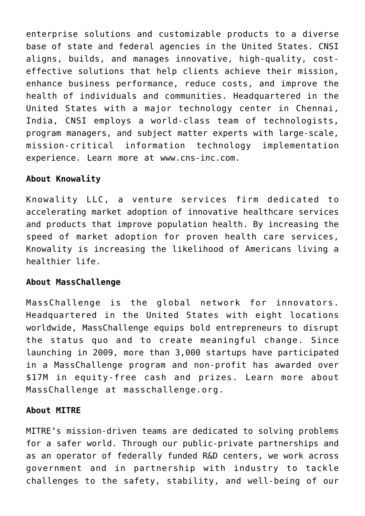enterprise solutions and customizable products to a diverse base of state and federal agencies in the United States. CNSI aligns, builds, and manages innovative, high-quality, costeffective solutions that help clients achieve their mission, enhance business performance, reduce costs, and improve the health of individuals and communities. Headquartered in the United States with a major technology center in Chennai, India, CNSI employs a world-class team of technologists, program managers, and subject matter experts with large-scale, mission-critical information technology implementation experience. Learn more at www.cns-inc.com.

## **About Knowality**

Knowality LLC, a venture services firm dedicated to accelerating market adoption of innovative healthcare services and products that improve population health. By increasing the speed of market adoption for proven health care services, Knowality is increasing the likelihood of Americans living a healthier life.

## **About MassChallenge**

MassChallenge is the global network for innovators. Headquartered in the United States with eight locations worldwide, MassChallenge equips bold entrepreneurs to disrupt the status quo and to create meaningful change. Since launching in 2009, more than 3,000 startups have participated in a MassChallenge program and non-profit has awarded over \$17M in equity-free cash and prizes. Learn more about MassChallenge at masschallenge.org.

### **About MITRE**

MITRE's mission-driven teams are dedicated to solving problems for a safer world. Through our public-private partnerships and as an operator of federally funded R&D centers, we work across government and in partnership with industry to tackle challenges to the safety, stability, and well-being of our